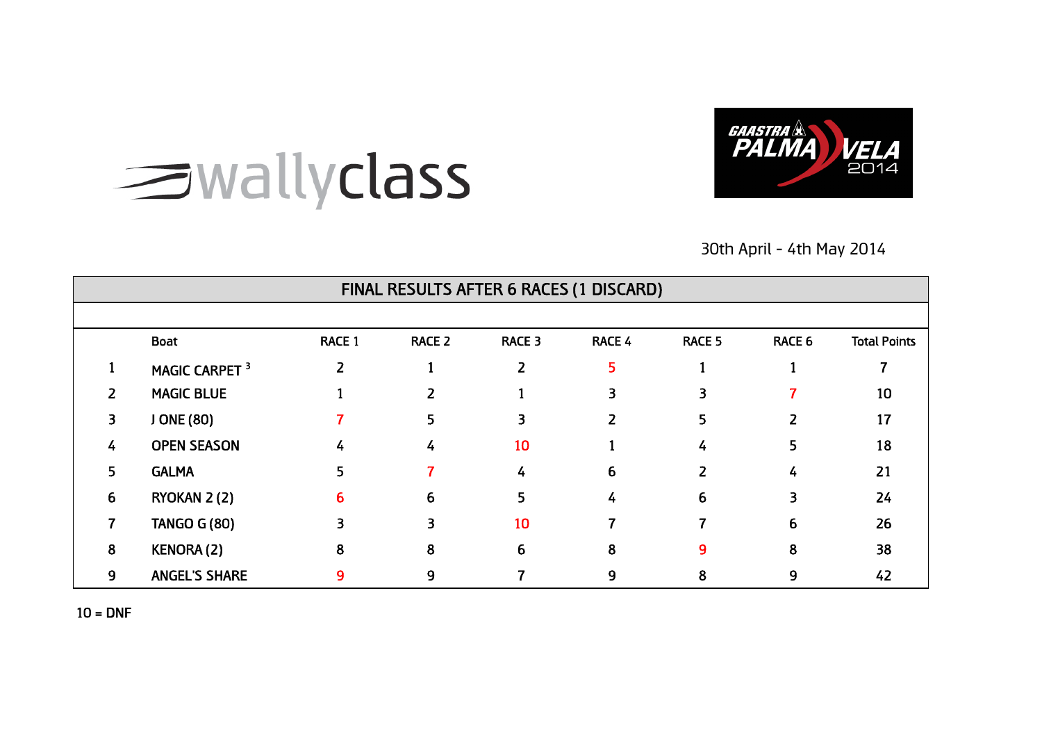

# swallyclass

30th April - 4th May 2014

|                | FINAL RESULTS AFTER 6 RACES (1 DISCARD) |                |               |        |                         |               |               |                     |  |  |  |
|----------------|-----------------------------------------|----------------|---------------|--------|-------------------------|---------------|---------------|---------------------|--|--|--|
|                |                                         |                |               |        |                         |               |               |                     |  |  |  |
|                | <b>Boat</b>                             | <b>RACE 1</b>  | <b>RACE 2</b> | RACE 3 | RACE 4                  | <b>RACE 5</b> | <b>RACE 6</b> | <b>Total Points</b> |  |  |  |
|                | MAGIC CARPET <sup>3</sup>               | $\overline{2}$ |               | 2      | 5                       |               |               |                     |  |  |  |
| $\overline{z}$ | <b>MAGIC BLUE</b>                       |                | 2             |        | $\overline{\mathbf{3}}$ | 3             |               | 10                  |  |  |  |
| 3.             | J ONE (80)                              |                | 5             | 3      | $\overline{2}$          | 5             | 2             | 17                  |  |  |  |
| 4              | <b>OPEN SEASON</b>                      | 4              | 4             | 10     |                         | 4             | 5             | 18                  |  |  |  |
| 5.             | <b>GALMA</b>                            | 5              |               | 4      | 6                       | 2             | 4             | 21                  |  |  |  |
| 6              | RYOKAN 2(2)                             | 6              | 6             | 5.     | 4                       | 6             | 3             | 24                  |  |  |  |
|                | <b>TANGO G (80)</b>                     | 3              | 3             | 10     |                         |               | 6             | 26                  |  |  |  |
| 8              | KENORA(2)                               | 8              | 8             | 6      | 8                       | 9             | 8             | 38                  |  |  |  |
| 9              | <b>ANGEL'S SHARE</b>                    | 9              | 9             |        | 9                       | 8             | 9             | 42                  |  |  |  |

 $10 = DNF$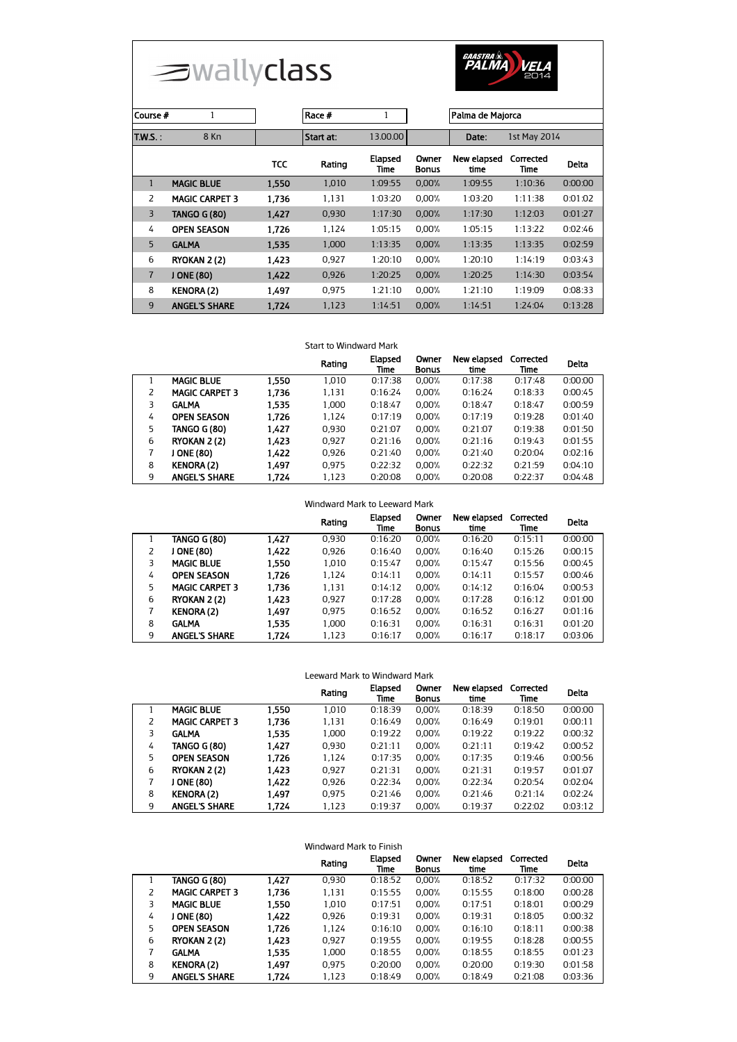



| Course #       | 1                     |       | Race #    | 1                      |                | Palma de Majorca    |                   |              |  |
|----------------|-----------------------|-------|-----------|------------------------|----------------|---------------------|-------------------|--------------|--|
| T.W.S.:        | 8 Kn                  |       | Start at: | 13.00.00               |                | Date:               | 1st May 2014      |              |  |
|                |                       | TCC   | Rating    | <b>Elapsed</b><br>Time | Owner<br>Bonus | New elapsed<br>time | Corrected<br>Time | <b>Delta</b> |  |
| $\mathbf{1}$   | <b>MAGIC BLUE</b>     | 1.550 | 1.010     | 1:09:55                | 0.00%          | 1:09:55             | 1:10:36           | 0:00:00      |  |
| 2              | <b>MAGIC CARPET 3</b> | 1.736 | 1.131     | 1:03:20                | 0.00%          | 1:03:20             | 1:11:38           | 0:01:02      |  |
| $\overline{3}$ | <b>TANGO G (80)</b>   | 1.427 | 0,930     | 1:17:30                | 0.00%          | 1:17:30             | 1:12:03           | 0:01:27      |  |
| 4              | <b>OPEN SEASON</b>    | 1.726 | 1.124     | 1:05:15                | 0.00%          | 1:05:15             | 1:13:22           | 0:02:46      |  |
| 5              | <b>GALMA</b>          | 1.535 | 1.000     | 1:13:35                | 0.00%          | 1:13:35             | 1:13:35           | 0:02:59      |  |
| 6              | RYOKAN 2(2)           | 1.423 | 0.927     | 1:20:10                | 0.00%          | 1:20:10             | 1:14:19           | 0:03:43      |  |
| $\overline{7}$ | J ONE (80)            | 1,422 | 0.926     | 1.20.25                | 0.00%          | 1:20:25             | 1:14:30           | 0:03:54      |  |
| 8              | <b>KENORA (2)</b>     | 1.497 | 0.975     | 1:21:10                | 0.00%          | 1:21:10             | 1:19:09           | 0:08:33      |  |
| 9              | <b>ANGEL'S SHARE</b>  | 1.724 | 1,123     | 1:14:51                | 0.00%          | 1:14:51             | 1:24:04           | 0:13:28      |  |

## Start to Windward Mark

|   |                       |       | Rating | Elapsed<br>Time | Owner<br><b>Bonus</b> | New elapsed<br>time | Corrected<br>Time | <b>Delta</b> |
|---|-----------------------|-------|--------|-----------------|-----------------------|---------------------|-------------------|--------------|
|   | <b>MAGIC BLUE</b>     | 1.550 | 1.010  | 0:17:38         | 0.00%                 | 0:17:38             | 0:17:48           | 0:00:00      |
|   | <b>MAGIC CARPET 3</b> | 1.736 | 1,131  | 0:16:24         | 0.00%                 | 0:16:24             | 0:18:33           | 0:00:45      |
| 3 | <b>GALMA</b>          | 1.535 | 1.000  | 0:18:47         | 0.00%                 | 0:18:47             | 0:18:47           | 0:00:59      |
| 4 | <b>OPEN SEASON</b>    | 1.726 | 1,124  | 0:17:19         | 0.00%                 | 0:17:19             | 0:19:28           | 0:01:40      |
| 5 | <b>TANGO G (80)</b>   | 1.427 | 0.930  | 0:21:07         | 0.00%                 | 0:21:07             | 0:19:38           | 0:01:50      |
| 6 | RYOKAN 2 (2)          | 1.423 | 0.927  | 0:21:16         | 0.00%                 | 0:21:16             | 0:19:43           | 0:01:55      |
|   | <b>ONE (80)</b>       | 1.422 | 0,926  | 0:21:40         | 0.00%                 | 0:21:40             | 0:20:04           | 0:02:16      |
| 8 | <b>KENORA (2)</b>     | 1.497 | 0.975  | 0:22:32         | 0.00%                 | 0:22:32             | 0:21:59           | 0:04:10      |
| 9 | <b>ANGEL'S SHARE</b>  | 1.724 | 1.123  | 0:20:08         | 0.00%                 | 0:20:08             | 0:22:37           | 0:04:48      |

|   |                       |       | Rating | Elapsed<br>Time | Owner<br><b>Bonus</b> | New elapsed<br>time | Corrected<br>Time | Delta   |
|---|-----------------------|-------|--------|-----------------|-----------------------|---------------------|-------------------|---------|
|   | TANGO G (80)          | 1,427 | 0.930  | 0:16:20         | $0.00\%$              | 0:16:20             | 0:15:11           | 0:00:00 |
| 2 | ONE (80)              | 1,422 | 0.926  | 0:16:40         | 0.00%                 | 0:16:40             | 0:15:26           | 0:00:15 |
| 3 | <b>MAGIC BLUE</b>     | 1.550 | 1.010  | 0:15:47         | 0.00%                 | 0:15:47             | 0:15:56           | 0:00:45 |
| 4 | <b>OPEN SEASON</b>    | 1.726 | 1.124  | 0:14:11         | 0.00%                 | 0:14:11             | 0:15:57           | 0:00:46 |
| 5 | <b>MAGIC CARPET 3</b> | 1.736 | 1.131  | 0:14:12         | 0.00%                 | 0:14:12             | 0:16:04           | 0:00:53 |
| 6 | <b>RYOKAN 2 (2)</b>   | 1,423 | 0.927  | 0:17:28         | 0.00%                 | 0:17:28             | 0:16:12           | 0:01:00 |
| 7 | <b>KENORA (2)</b>     | 1,497 | 0.975  | 0:16:52         | 0.00%                 | 0:16:52             | 0:16:27           | 0:01:16 |
| 8 | <b>GALMA</b>          | 1.535 | 1.000  | 0:16:31         | 0.00%                 | 0:16:31             | 0:16:31           | 0:01:20 |
| 9 | <b>ANGEL'S SHARE</b>  | 1.724 | 1.123  | 0:16:17         | 0.00%                 | 0:16:17             | 0:18:17           | 0:03:06 |

| Leeward Mark to Windward Mark                                                                           |                       |       |       |         |       |         |         |         |  |
|---------------------------------------------------------------------------------------------------------|-----------------------|-------|-------|---------|-------|---------|---------|---------|--|
| New elapsed<br>Elapsed<br>Owner<br>Corrected<br>Rating<br><b>Delta</b><br>time<br>Bonus<br>Time<br>Time |                       |       |       |         |       |         |         |         |  |
|                                                                                                         | <b>MAGIC BLUE</b>     | 1.550 | 1.010 | 0:18:39 | 0.00% | 0:18:39 | 0:18:50 | 0:00:00 |  |
| 2                                                                                                       | <b>MAGIC CARPET 3</b> | 1.736 | 1,131 | 0:16:49 | 0.00% | 0:16:49 | 0:19:01 | 0:00:11 |  |
| 3                                                                                                       | <b>GALMA</b>          | 1.535 | 1.000 | 0:19:22 | 0.00% | 0:19:22 | 0:19:22 | 0:00:32 |  |
| 4                                                                                                       | <b>TANGO G (80)</b>   | 1.427 | 0.930 | 0:21:11 | 0.00% | 0:21:11 | 0:19:42 | 0:00:52 |  |
| 5                                                                                                       | <b>OPEN SEASON</b>    | 1.726 | 1.124 | 0:17:35 | 0.00% | 0:17:35 | 0:19:46 | 0:00:56 |  |
| 6                                                                                                       | RYOKAN 2 (2)          | 1.423 | 0.927 | 0:21:31 | 0.00% | 0:21:31 | 0:19:57 | 0:01:07 |  |
| 7                                                                                                       | J ONE (80)            | 1.422 | 0.926 | 0:22:34 | 0.00% | 0:22:34 | 0:20:54 | 0:02:04 |  |
| 8                                                                                                       | <b>KENORA (2)</b>     | 1.497 | 0.975 | 0:21:46 | 0.00% | 0:21:46 | 0:21:14 | 0:02:24 |  |
| 9                                                                                                       | <b>ANGEL'S SHARE</b>  | 1.724 | 1,123 | 0:19:37 | 0.00% | 0:19:37 | 0:22:02 | 0:03:12 |  |

| Windward Mark to Finish                                                                        |   |                       |       |       |         |       |         |         |         |
|------------------------------------------------------------------------------------------------|---|-----------------------|-------|-------|---------|-------|---------|---------|---------|
| New elapsed<br>Elapsed<br>Corrected<br>Owner<br>Rating<br>time<br><b>Bonus</b><br>Time<br>Time |   |                       |       |       |         |       |         |         |         |
|                                                                                                |   | <b>TANGO G (80)</b>   | 1,427 | 0.930 | 0:18:52 | 0.00% | 0:18:52 | 0:17:32 | 0:00:00 |
|                                                                                                | 2 | <b>MAGIC CARPET 3</b> | 1.736 | 1,131 | 0:15:55 | 0.00% | 0:15:55 | 0:18:00 | 0:00:28 |
|                                                                                                | 3 | <b>MAGIC BLUE</b>     | 1,550 | 1.010 | 0:17:51 | 0.00% | 0:17:51 | 0:18:01 | 0:00:29 |
|                                                                                                | 4 | J ONE (80)            | 1,422 | 0.926 | 0:19:31 | 0.00% | 0:19:31 | 0:18:05 | 0:00:32 |
|                                                                                                | 5 | <b>OPEN SEASON</b>    | 1,726 | 1.124 | 0:16:10 | 0.00% | 0:16:10 | 0:18:11 | 0:00:38 |
|                                                                                                | 6 | RYOKAN 2 (2)          | 1.423 | 0.927 | 0:19:55 | 0.00% | 0:19:55 | 0:18:28 | 0:00:55 |
|                                                                                                | 7 | <b>GALMA</b>          | 1.535 | 1.000 | 0:18:55 | 0.00% | 0:18:55 | 0:18:55 | 0:01:23 |
|                                                                                                | 8 | <b>KENORA (2)</b>     | 1.497 | 0.975 | 0:20:00 | 0.00% | 0:20:00 | 0:19:30 | 0:01:58 |
|                                                                                                | 9 | <b>ANGEL'S SHARE</b>  | 1.724 | 1.123 | 0:18:49 | 0.00% | 0:18:49 | 0:21:08 | 0:03:36 |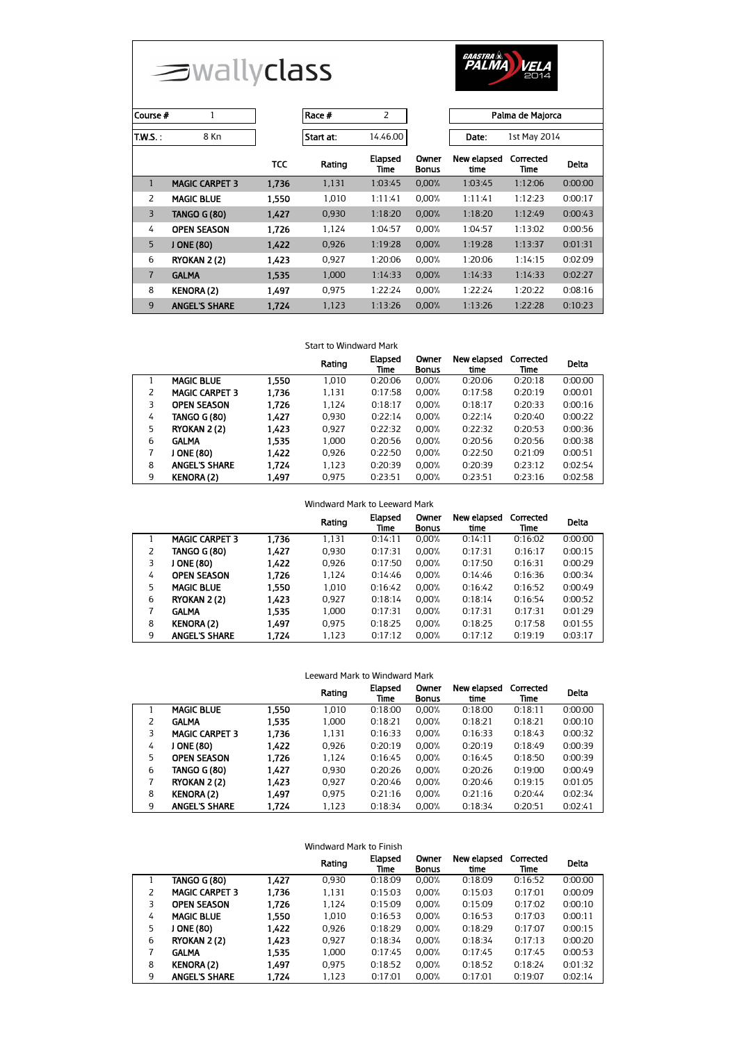



| 1<br>Course #  |                       |            | $\overline{2}$<br>Race # |                        |                |                     | Palma de Majorca  |              |  |
|----------------|-----------------------|------------|--------------------------|------------------------|----------------|---------------------|-------------------|--------------|--|
|                |                       |            |                          |                        |                |                     |                   |              |  |
| $T.W.S.$ :     | 8 Kn                  |            | Start at:                | 14.46.00               |                | Date:               | 1st May 2014      |              |  |
|                |                       | <b>TCC</b> | Rating                   | <b>Elapsed</b><br>Time | Owner<br>Bonus | New elapsed<br>time | Corrected<br>Time | <b>Delta</b> |  |
| $\mathbf{1}$   | <b>MAGIC CARPET 3</b> | 1,736      | 1,131                    | 1:03:45                | 0.00%          | 1:03:45             | 1:12:06           | 0:00:00      |  |
| 2              | <b>MAGIC BLUE</b>     | 1.550      | 1.010                    | 1:11:41                | 0.00%          | 1:11:41             | 1:12:23           | 0:00:17      |  |
| $\overline{3}$ | <b>TANGO G (80)</b>   | 1.427      | 0,930                    | 1:18:20                | 0.00%          | 1:18:20             | 1:12:49           | 0:00:43      |  |
| 4              | <b>OPEN SEASON</b>    | 1.726      | 1.124                    | 1:04:57                | 0.00%          | 1:04:57             | 1:13:02           | 0:00:56      |  |
| 5              | J ONE (80)            | 1,422      | 0.926                    | 1:19:28                | 0.00%          | 1:19:28             | 1:13:37           | 0:01:31      |  |
| 6              | RYOKAN 2 (2)          | 1.423      | 0.927                    | 1:20:06                | 0.00%          | 1:20:06             | 1:14:15           | 0:02:09      |  |
| $\overline{7}$ | <b>GALMA</b>          | 1.535      | 1,000                    | 1:14:33                | 0.00%          | 1:14:33             | 1:14:33           | 0:02:27      |  |
| 8              | <b>KENORA (2)</b>     | 1.497      | 0.975                    | 1:22:24                | 0.00%          | 1:22:24             | 1:20:22           | 0:08:16      |  |
| 9              | <b>ANGEL'S SHARE</b>  | 1,724      | 1,123                    | 1:13:26                | 0.00%          | 1:13:26             | 1:22:28           | 0:10:23      |  |

## Start to Windward Mark

|   |                       |       | Rating | <b>Elapsed</b><br>Time | Owner<br><b>Bonus</b> | New elapsed<br>time | Corrected<br>Time | <b>Delta</b> |
|---|-----------------------|-------|--------|------------------------|-----------------------|---------------------|-------------------|--------------|
|   | <b>MAGIC BLUE</b>     | 1.550 | 1,010  | 0:20:06                | 0.00%                 | 0:20:06             | 0:20:18           | 0:00:00      |
|   | <b>MAGIC CARPET 3</b> | 1.736 | 1,131  | 0:17:58                | 0.00%                 | 0:17:58             | 0:20:19           | 0:00:01      |
| 3 | <b>OPEN SEASON</b>    | 1.726 | 1,124  | 0:18:17                | 0.00%                 | 0:18:17             | 0:20:33           | 0:00:16      |
| 4 | <b>TANGO G (80)</b>   | 1.427 | 0.930  | 0:22:14                | 0.00%                 | 0:22:14             | 0:20:40           | 0:00:22      |
| 5 | RYOKAN 2 (2)          | 1.423 | 0.927  | 0:22:32                | 0.00%                 | 0:22:32             | 0:20:53           | 0:00:36      |
| 6 | <b>GALMA</b>          | 1.535 | 1.000  | 0:20:56                | 0.00%                 | 0:20:56             | 0:20:56           | 0:00:38      |
|   | <b>ONE (80)</b>       | 1.422 | 0.926  | 0:22:50                | 0.00%                 | 0:22:50             | 0:21:09           | 0:00:51      |
| 8 | <b>ANGEL'S SHARE</b>  | 1.724 | 1,123  | 0:20:39                | 0.00%                 | 0:20:39             | 0:23:12           | 0:02:54      |
| 9 | <b>KENORA (2)</b>     | 1.497 | 0.975  | 0:23:51                | 0.00%                 | 0:23:51             | 0:23:16           | 0:02:58      |

|   |                       |       | Rating | Elapsed<br>Time | Owner<br><b>Bonus</b> | New elapsed<br>time | Corrected<br>Time | Delta   |
|---|-----------------------|-------|--------|-----------------|-----------------------|---------------------|-------------------|---------|
|   | <b>MAGIC CARPET 3</b> | 1.736 | 1,131  | 0:14:11         | $0.00\%$              | 0:14:11             | 0:16:02           | 0:00:00 |
| 2 | TANGO G (80)          | 1,427 | 0.930  | 0:17:31         | 0.00%                 | 0:17:31             | 0:16:17           | 0:00:15 |
| 3 | ONE (80)              | 1,422 | 0.926  | 0:17:50         | 0.00%                 | 0:17:50             | 0:16:31           | 0:00:29 |
| 4 | <b>OPEN SEASON</b>    | 1.726 | 1.124  | 0:14:46         | 0.00%                 | 0:14:46             | 0:16:36           | 0:00:34 |
| 5 | <b>MAGIC BLUE</b>     | 1,550 | 1.010  | 0:16:42         | 0.00%                 | 0:16:42             | 0:16:52           | 0:00:49 |
| 6 | RYOKAN 2 (2)          | 1,423 | 0.927  | 0:18:14         | 0.00%                 | 0:18:14             | 0:16:54           | 0:00:52 |
| 7 | <b>GALMA</b>          | 1,535 | 1.000  | 0:17:31         | 0.00%                 | 0:17:31             | 0:17:31           | 0:01:29 |
| 8 | <b>KENORA (2)</b>     | 1.497 | 0.975  | 0:18:25         | 0.00%                 | 0:18:25             | 0:17:58           | 0:01:55 |
| 9 | <b>ANGEL'S SHARE</b>  | 1.724 | 1.123  | 0:17:12         | $0.00\%$              | 0:17:12             | 0:19:19           | 0:03:17 |

| Leeward Mark to Windward Mark                                                                           |                       |       |       |         |       |         |         |         |  |
|---------------------------------------------------------------------------------------------------------|-----------------------|-------|-------|---------|-------|---------|---------|---------|--|
| Owner<br>New elapsed<br>Elapsed<br>Corrected<br>Rating<br>Delta<br>time<br><b>Bonus</b><br>Time<br>Time |                       |       |       |         |       |         |         |         |  |
|                                                                                                         | <b>MAGIC BLUE</b>     | 1.550 | 1.010 | 0:18:00 | 0.00% | 0:18:00 | 0:18:11 | 0:00:00 |  |
| 2                                                                                                       | <b>GALMA</b>          | 1.535 | 1.000 | 0:18:21 | 0.00% | 0:18:21 | 0:18:21 | 0:00:10 |  |
| 3                                                                                                       | <b>MAGIC CARPET 3</b> | 1.736 | 1,131 | 0:16:33 | 0.00% | 0:16:33 | 0:18:43 | 0:00:32 |  |
| 4                                                                                                       | J ONE (80)            | 1.422 | 0.926 | 0:20:19 | 0.00% | 0:20:19 | 0:18:49 | 0:00:39 |  |
| 5.                                                                                                      | <b>OPEN SEASON</b>    | 1.726 | 1.124 | 0:16:45 | 0.00% | 0:16:45 | 0:18:50 | 0:00:39 |  |
| 6                                                                                                       | TANGO G (80)          | 1.427 | 0.930 | 0:20:26 | 0.00% | 0:20:26 | 0:19:00 | 0:00:49 |  |
| 7                                                                                                       | RYOKAN 2 (2)          | 1.423 | 0.927 | 0:20:46 | 0.00% | 0:20:46 | 0:19:15 | 0:01:05 |  |
| 8                                                                                                       | <b>KENORA (2)</b>     | 1.497 | 0.975 | 0:21:16 | 0.00% | 0:21:16 | 0:20:44 | 0:02:34 |  |
| 9                                                                                                       | <b>ANGEL'S SHARE</b>  | 1.724 | 1,123 | 0:18:34 | 0.00% | 0:18:34 | 0:20:51 | 0:02:41 |  |

| Windward Mark to Finish                                                                        |   |                       |       |       |         |          |         |         |         |
|------------------------------------------------------------------------------------------------|---|-----------------------|-------|-------|---------|----------|---------|---------|---------|
| New elapsed<br>Elapsed<br>Owner<br>Corrected<br>Rating<br><b>Bonus</b><br>time<br>Time<br>Time |   |                       |       |       |         |          |         |         |         |
|                                                                                                |   | TANGO G (80)          | 1,427 | 0.930 | 0:18:09 | $0.00\%$ | 0:18:09 | 0:16:52 | 0:00:00 |
|                                                                                                | 2 | <b>MAGIC CARPET 3</b> | 1.736 | 1,131 | 0:15:03 | 0.00%    | 0:15:03 | 0:17:01 | 0:00:09 |
|                                                                                                | 3 | <b>OPEN SEASON</b>    | 1.726 | 1.124 | 0:15:09 | 0.00%    | 0:15:09 | 0:17:02 | 0:00:10 |
|                                                                                                | 4 | <b>MAGIC BLUE</b>     | 1,550 | 1.010 | 0:16:53 | 0.00%    | 0:16:53 | 0:17:03 | 0:00:11 |
|                                                                                                | 5 | J ONE (80)            | 1,422 | 0.926 | 0:18:29 | 0.00%    | 0:18:29 | 0:17:07 | 0:00:15 |
|                                                                                                | 6 | <b>RYOKAN 2 (2)</b>   | 1.423 | 0.927 | 0:18:34 | 0.00%    | 0:18:34 | 0:17:13 | 0:00:20 |
|                                                                                                | 7 | <b>GALMA</b>          | 1,535 | 1,000 | 0:17:45 | 0.00%    | 0:17:45 | 0:17:45 | 0:00:53 |
|                                                                                                | 8 | <b>KENORA (2)</b>     | 1.497 | 0.975 | 0:18:52 | 0.00%    | 0:18:52 | 0:18:24 | 0:01:32 |
|                                                                                                | 9 | <b>ANGEL'S SHARE</b>  | 1.724 | 1.123 | 0:17:01 | 0.00%    | 0:17:01 | 0:19:07 | 0:02:14 |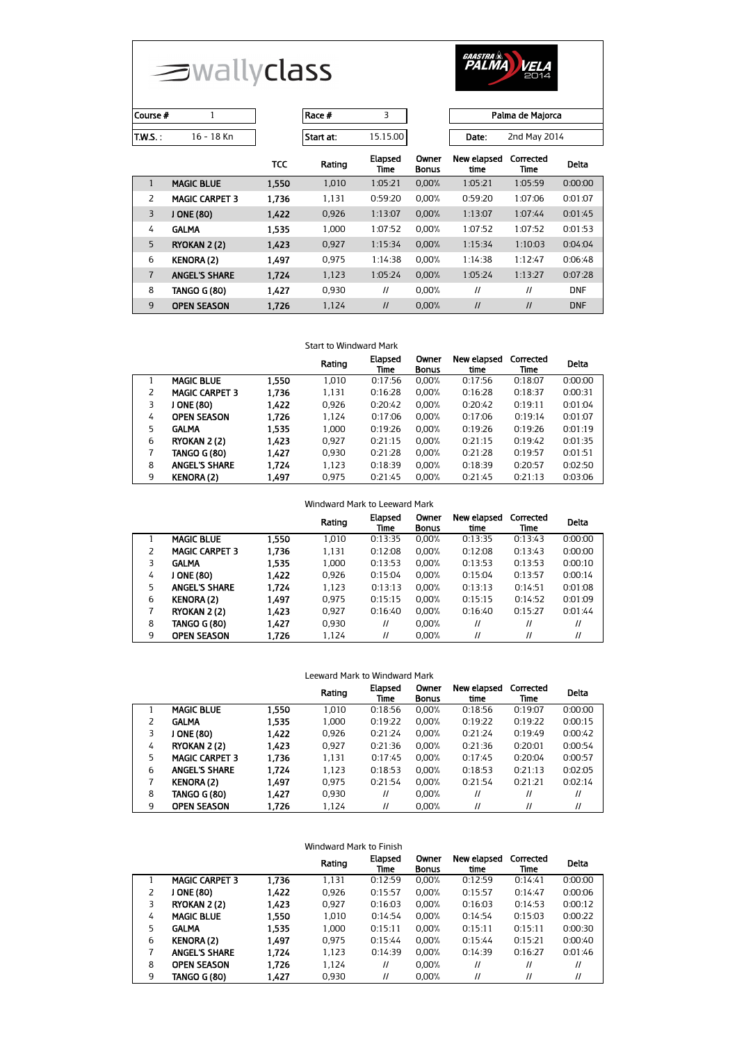



| Course # |            | Race #    |          |       | Palma de Majorca |
|----------|------------|-----------|----------|-------|------------------|
| 'T.W.S   | 16 - 18 Kn | Start at: | 15.15.00 | Date: | 2nd May 2014     |
|          |            |           | --       |       | .                |

|                | 10 - 10 MI            |            | suutat. | 15.15.UU               |                       | valc.               | ZHU PIOY ZUI4     |              |
|----------------|-----------------------|------------|---------|------------------------|-----------------------|---------------------|-------------------|--------------|
|                |                       | <b>TCC</b> | Rating  | <b>Elapsed</b><br>Time | Owner<br><b>Bonus</b> | New elapsed<br>time | Corrected<br>Time | <b>Delta</b> |
| $\mathbf{1}$   | <b>MAGIC BLUE</b>     | 1.550      | 1.010   | 1:05:21                | 0.00%                 | 1:05:21             | 1:05:59           | 0:00:00      |
| 2              | <b>MAGIC CARPET 3</b> | 1.736      | 1.131   | 0:59:20                | 0.00%                 | 0:59:20             | 1:07:06           | 0:01:07      |
| 3              | J ONE (80)            | 1.422      | 0.926   | 1:13:07                | 0.00%                 | 1:13:07             | 1:07:44           | 0:01:45      |
| 4              | <b>GALMA</b>          | 1.535      | 1.000   | 1:07:52                | 0.00%                 | 1:07:52             | 1:07:52           | 0:01:53      |
| 5              | RYOKAN 2(2)           | 1.423      | 0,927   | 1:15:34                | 0.00%                 | 1:15:34             | 1:10:03           | 0:04:04      |
| 6              | <b>KENORA (2)</b>     | 1.497      | 0.975   | 1:14:38                | 0.00%                 | 1:14:38             | 1:12:47           | 0:06:48      |
| $\overline{7}$ | <b>ANGEL'S SHARE</b>  | 1.724      | 1,123   | 1:05:24                | 0.00%                 | 1:05:24             | 1:13:27           | 0:07:28      |
| 8              | <b>TANGO G (80)</b>   | 1.427      | 0.930   | $^{\prime\prime}$      | 0.00%                 | $^{\prime\prime}$   | $\prime$          | <b>DNF</b>   |
| 9              | <b>OPEN SEASON</b>    | 1,726      | 1,124   | $\mathcal{U}$          | 0.00%                 | $\mathcal{U}$       | $\mathcal{U}$     | <b>DNF</b>   |

## Start to Windward Mark

|   |                       |       | Rating | Elapsed<br>Time | Owner<br><b>Bonus</b> | New elapsed<br>time | Corrected<br>Time | <b>Delta</b> |
|---|-----------------------|-------|--------|-----------------|-----------------------|---------------------|-------------------|--------------|
|   | <b>MAGIC BLUE</b>     | 1.550 | 1.010  | 0:17:56         | 0.00%                 | 0:17:56             | 0:18:07           | 0:00:00      |
|   | <b>MAGIC CARPET 3</b> | 1.736 | 1,131  | 0:16:28         | 0.00%                 | 0:16:28             | 0:18:37           | 0:00:31      |
| 3 | ONE (80)              | 1.422 | 0,926  | 0:20:42         | 0.00%                 | 0:20:42             | 0:19:11           | 0:01:04      |
| 4 | <b>OPEN SEASON</b>    | 1.726 | 1.124  | 0:17:06         | 0.00%                 | 0:17:06             | 0:19:14           | 0:01:07      |
| 5 | <b>GALMA</b>          | 1.535 | 1.000  | 0:19:26         | 0.00%                 | 0:19:26             | 0:19:26           | 0:01:19      |
| 6 | RYOKAN 2 (2)          | 1.423 | 0.927  | 0:21:15         | 0.00%                 | 0:21:15             | 0:19:42           | 0:01:35      |
|   | <b>TANGO G (80)</b>   | 1.427 | 0.930  | 0:21:28         | 0.00%                 | 0:21:28             | 0:19:57           | 0:01:51      |
| 8 | <b>ANGEL'S SHARE</b>  | 1.724 | 1,123  | 0:18:39         | 0.00%                 | 0:18:39             | 0:20:57           | 0:02:50      |
| 9 | <b>KENORA (2)</b>     | 1.497 | 0.975  | 0:21:45         | 0.00%                 | 0:21:45             | 0:21:13           | 0:03:06      |

|   |                       |       | Rating | Elapsed<br>Time   | Owner<br><b>Bonus</b> | New elapsed<br>time | Corrected<br>Time | <b>Delta</b>      |
|---|-----------------------|-------|--------|-------------------|-----------------------|---------------------|-------------------|-------------------|
|   | <b>MAGIC BLUE</b>     | 1.550 | 1.010  | 0:13:35           | 0.00%                 | 0:13:35             | 0:13:43           | 0:00:00           |
|   | <b>MAGIC CARPET 3</b> | 1.736 | 1.131  | 0:12:08           | 0.00%                 | 0:12:08             | 0:13:43           | 0:00:00           |
| 3 | <b>GALMA</b>          | 1,535 | 1.000  | 0:13:53           | 0.00%                 | 0:13:53             | 0:13:53           | 0:00:10           |
| 4 | J ONE (80)            | 1.422 | 0.926  | 0:15:04           | 0.00%                 | 0:15:04             | 0:13:57           | 0:00:14           |
| 5 | <b>ANGEL'S SHARE</b>  | 1,724 | 1,123  | 0:13:13           | 0.00%                 | 0:13:13             | 0:14:51           | 0:01:08           |
| 6 | <b>KENORA (2)</b>     | 1.497 | 0.975  | 0:15:15           | 0.00%                 | 0:15:15             | 0:14:52           | 0:01:09           |
|   | <b>RYOKAN 2 (2)</b>   | 1,423 | 0.927  | 0:16:40           | 0.00%                 | 0:16:40             | 0:15:27           | 0:01:44           |
| 8 | TANGO G (80)          | 1.427 | 0.930  | $^{\prime\prime}$ | 0.00%                 | $^{\prime\prime}$   | $^{\prime\prime}$ | $^{\prime\prime}$ |
| 9 | <b>OPEN SEASON</b>    | 1.726 | 1.124  | 11                | 0.00%                 | $^{\prime\prime}$   | $^{\prime\prime}$ | $^{\prime\prime}$ |

| Leeward Mark to Windward Mark |                       |       |        |                   |                       |                     |                   |                   |
|-------------------------------|-----------------------|-------|--------|-------------------|-----------------------|---------------------|-------------------|-------------------|
|                               |                       |       | Rating | Elapsed<br>Time   | Owner<br><b>Bonus</b> | New elapsed<br>time | Corrected<br>Time | <b>Delta</b>      |
|                               | <b>MAGIC BLUE</b>     | 1.550 | 1.010  | 0:18:56           | 0.00%                 | 0:18:56             | 0:19:07           | 0:00:00           |
| 2                             | <b>GALMA</b>          | 1.535 | 1,000  | 0:19:22           | 0.00%                 | 0:19:22             | 0:19:22           | 0:00:15           |
| 3                             | J ONE (80)            | 1.422 | 0.926  | 0:21:24           | 0.00%                 | 0:21:24             | 0:19:49           | 0:00:42           |
| 4                             | RYOKAN 2 (2)          | 1.423 | 0.927  | 0:21:36           | 0.00%                 | 0:21:36             | 0:20:01           | 0:00:54           |
| 5                             | <b>MAGIC CARPET 3</b> | 1.736 | 1,131  | 0:17:45           | 0.00%                 | 0:17:45             | 0:20:04           | 0:00:57           |
| 6                             | <b>ANGEL'S SHARE</b>  | 1.724 | 1.123  | 0:18:53           | 0.00%                 | 0:18:53             | 0:21:13           | 0:02:05           |
| 7                             | <b>KENORA (2)</b>     | 1.497 | 0.975  | 0:21:54           | 0.00%                 | 0:21:54             | 0:21:21           | 0:02:14           |
| 8                             | TANGO G (80)          | 1.427 | 0.930  | $^{\prime\prime}$ | 0.00%                 | $^{\prime\prime}$   | $\prime$          | $^{\prime\prime}$ |
| 9                             | <b>OPEN SEASON</b>    | 1.726 | 1.124  | 11                | 0.00%                 | $^{\prime\prime}$   | 11                | $^{\prime\prime}$ |

| Windward Mark to Finish |                       |       |        |                   |                       |                     |                   |                   |
|-------------------------|-----------------------|-------|--------|-------------------|-----------------------|---------------------|-------------------|-------------------|
|                         |                       |       | Rating | Elapsed<br>Time   | Owner<br><b>Bonus</b> | New elapsed<br>time | Corrected<br>Time | Delta             |
|                         | <b>MAGIC CARPET 3</b> | 1,736 | 1.131  | 0:12:59           | 0.00%                 | 0:12:59             | 0:14:41           | 0:00:00           |
| 2                       | J ONE (80)            | 1,422 | 0.926  | 0:15:57           | 0.00%                 | 0:15:57             | 0:14:47           | 0:00:06           |
| 3                       | <b>RYOKAN 2 (2)</b>   | 1.423 | 0.927  | 0:16:03           | 0.00%                 | 0:16:03             | 0:14:53           | 0:00:12           |
| 4                       | <b>MAGIC BLUE</b>     | 1,550 | 1.010  | 0:14:54           | $0.00\%$              | 0:14:54             | 0:15:03           | 0:00:22           |
| 5                       | <b>GALMA</b>          | 1.535 | 1.000  | 0:15:11           | 0.00%                 | 0:15:11             | 0:15:11           | 0:00:30           |
| 6                       | <b>KENORA (2)</b>     | 1.497 | 0.975  | 0:15:44           | 0.00%                 | 0:15:44             | 0:15:21           | 0:00:40           |
| 7                       | <b>ANGEL'S SHARE</b>  | 1.724 | 1,123  | 0:14:39           | 0.00%                 | 0:14:39             | 0:16:27           | 0:01:46           |
| 8                       | <b>OPEN SEASON</b>    | 1.726 | 1.124  | $^{\prime\prime}$ | $0.00\%$              | $^{\prime\prime}$   | $^{\prime\prime}$ | $^{\prime\prime}$ |
| 9                       | <b>TANGO G (80)</b>   | 1.427 | 0.930  | $^{\prime\prime}$ | 0.00%                 | $^{\prime\prime}$   | $^{\prime\prime}$ | $\mathcal{U}$     |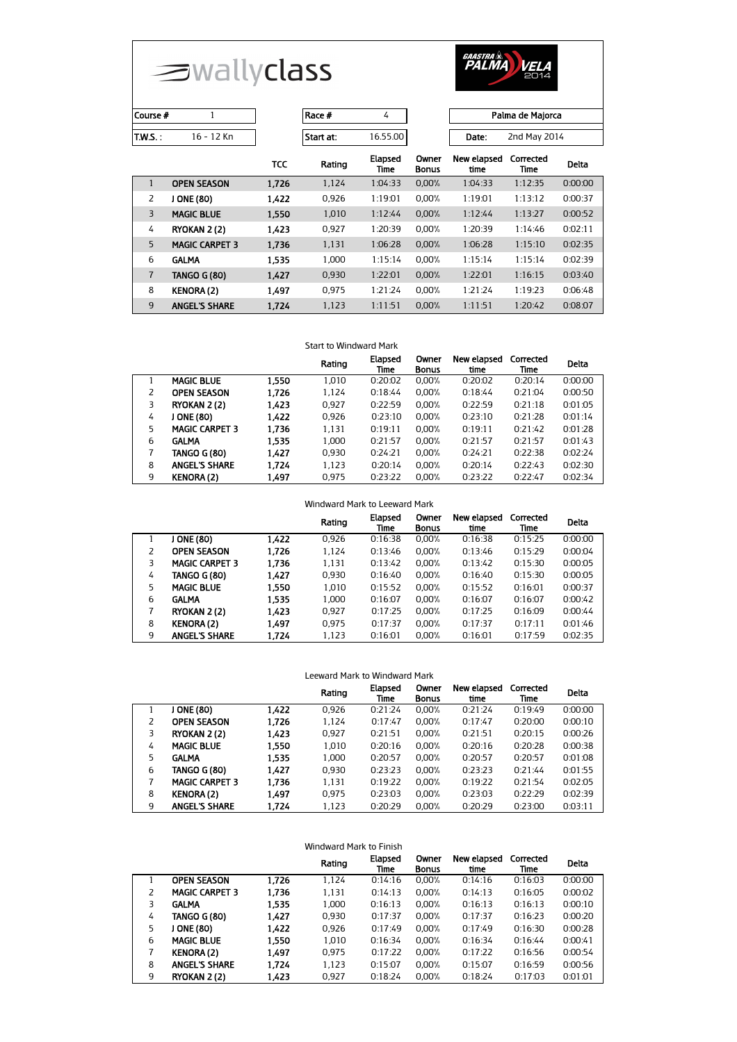



| Course # |            | Race #    |          |                             | Palma de Maiorca |
|----------|------------|-----------|----------|-----------------------------|------------------|
| T.W.S. : | 16 - 12 Kn | Start at: | 16.55.00 | Date:                       | 2nd May 2014     |
|          |            |           | F1-3-3-4 | Course Manufactured Company |                  |

| Palma de Majorca |
|------------------|
|                  |
| 2nd May 201/     |

| ate: | 2nd May 2014 |
|------|--------------|
|      |              |

|                |                       | TCC   | Rating | Elapsed<br>Time | Owner<br><b>Bonus</b> | New elapsed<br>time | Corrected<br>Time | <b>Delta</b> |
|----------------|-----------------------|-------|--------|-----------------|-----------------------|---------------------|-------------------|--------------|
| 1              | <b>OPEN SEASON</b>    | 1.726 | 1,124  | 1:04:33         | 0.00%                 | 1:04:33             | 1:12:35           | 0:00:00      |
| $\overline{2}$ | ONE (80)              | 1.422 | 0.926  | 1:19:01         | 0.00%                 | 1:19:01             | 1:13:12           | 0:00:37      |
| $\overline{3}$ | <b>MAGIC BLUE</b>     | 1.550 | 1,010  | 1:12:44         | 0.00%                 | 1:12:44             | 1:13:27           | 0:00:52      |
| 4              | RYOKAN 2(2)           | 1.423 | 0.927  | 1:20:39         | 0.00%                 | 1:20:39             | 1:14:46           | 0:02:11      |
| 5              | <b>MAGIC CARPET 3</b> | 1.736 | 1,131  | 1:06:28         | 0.00%                 | 1:06:28             | 1:15:10           | 0:02:35      |
| 6              | <b>GALMA</b>          | 1.535 | 1.000  | 1:15:14         | 0.00%                 | 1:15:14             | 1:15:14           | 0:02:39      |
| $\overline{7}$ | <b>TANGO G (80)</b>   | 1.427 | 0,930  | 1:22:01         | 0.00%                 | 1:22:01             | 1:16:15           | 0:03:40      |
| 8              | <b>KENORA (2)</b>     | 1.497 | 0.975  | 1:21:24         | 0.00%                 | 1:21:24             | 1:19:23           | 0:06:48      |
| 9              | <b>ANGEL'S SHARE</b>  | 1.724 | 1.123  | 1:11:51         | 0.00%                 | 1:11:51             | 1:20:42           | 0:08:07      |

## Start to Windward Mark

|   |                       |       | Rating | Elapsed<br>Time | Owner<br><b>Bonus</b> | New elapsed<br>time | Corrected<br>Time | <b>Delta</b> |
|---|-----------------------|-------|--------|-----------------|-----------------------|---------------------|-------------------|--------------|
|   | <b>MAGIC BLUE</b>     | 1.550 | 1.010  | 0:20:02         | $0.00\%$              | 0:20:02             | 0:20:14           | 0:00:00      |
|   | <b>OPEN SEASON</b>    | 1.726 | 1.124  | 0:18:44         | 0.00%                 | 0:18:44             | 0:21:04           | 0:00:50      |
| 3 | RYOKAN 2 (2)          | 1.423 | 0.927  | 0:22:59         | 0.00%                 | 0:22:59             | 0:21:18           | 0:01:05      |
| 4 | J ONE (80)            | 1.422 | 0.926  | 0:23:10         | 0.00%                 | 0:23:10             | 0:21:28           | 0:01:14      |
| 5 | <b>MAGIC CARPET 3</b> | 1.736 | 1,131  | 0:19:11         | 0.00%                 | 0:19:11             | 0:21:42           | 0:01:28      |
| 6 | <b>GALMA</b>          | 1.535 | 1.000  | 0:21:57         | 0.00%                 | 0:21:57             | 0:21:57           | 0:01:43      |
|   | <b>TANGO G (80)</b>   | 1.427 | 0.930  | 0:24:21         | 0.00%                 | 0:24:21             | 0:22:38           | 0:02:24      |
| 8 | <b>ANGEL'S SHARE</b>  | 1.724 | 1.123  | 0:20:14         | 0.00%                 | 0:20:14             | 0:22:43           | 0:02:30      |
| 9 | <b>KENORA (2)</b>     | 1.497 | 0.975  | 0:23:22         | 0.00%                 | 0:23:22             | 0:22:47           | 0:02:34      |

|   |                       |       | Rating | Elapsed<br>Time | Owner<br><b>Bonus</b> | New elapsed<br>time | Corrected<br>Time | <b>Delta</b> |
|---|-----------------------|-------|--------|-----------------|-----------------------|---------------------|-------------------|--------------|
|   | <b>ONE (80)</b>       | 1,422 | 0.926  | 0:16:38         | $0.00\%$              | 0:16:38             | 0:15:25           | 0:00:00      |
| 2 | <b>OPEN SEASON</b>    | 1,726 | 1,124  | 0:13:46         | 0.00%                 | 0:13:46             | 0:15:29           | 0:00:04      |
| 3 | <b>MAGIC CARPET 3</b> | 1,736 | 1.131  | 0:13:42         | 0.00%                 | 0:13:42             | 0:15:30           | 0:00:05      |
| 4 | TANGO G (80)          | 1,427 | 0.930  | 0:16:40         | 0.00%                 | 0:16:40             | 0:15:30           | 0:00:05      |
| 5 | <b>MAGIC BLUE</b>     | 1.550 | 1.010  | 0:15:52         | 0.00%                 | 0:15:52             | 0:16:01           | 0:00:37      |
| 6 | <b>GALMA</b>          | 1.535 | 1,000  | 0:16:07         | 0.00%                 | 0:16:07             | 0:16:07           | 0:00:42      |
|   | <b>RYOKAN 2 (2)</b>   | 1,423 | 0.927  | 0:17:25         | 0.00%                 | 0:17:25             | 0:16:09           | 0:00:44      |
| 8 | <b>KENORA (2)</b>     | 1.497 | 0.975  | 0:17:37         | 0.00%                 | 0:17:37             | 0:17:11           | 0:01:46      |
| 9 | <b>ANGEL'S SHARE</b>  | 1.724 | 1.123  | 0:16:01         | 0.00%                 | 0:16:01             | 0:17:59           | 0:02:35      |

| Leeward Mark to Windward Mark |                       |       |        |                 |                       |                     |                   |              |
|-------------------------------|-----------------------|-------|--------|-----------------|-----------------------|---------------------|-------------------|--------------|
|                               |                       |       | Rating | Elapsed<br>Time | Owner<br><b>Bonus</b> | New elapsed<br>time | Corrected<br>Time | <b>Delta</b> |
|                               | J ONE (80)            | 1.422 | 0.926  | 0:21:24         | 0.00%                 | 0:21:24             | 0:19:49           | 0:00:00      |
| 2                             | <b>OPEN SEASON</b>    | 1.726 | 1,124  | 0:17:47         | 0.00%                 | 0:17:47             | 0:20:00           | 0:00:10      |
| 3                             | RYOKAN 2 (2)          | 1.423 | 0.927  | 0:21:51         | 0.00%                 | 0:21:51             | 0:20:15           | 0:00:26      |
| 4                             | <b>MAGIC BLUE</b>     | 1.550 | 1.010  | 0:20:16         | 0.00%                 | 0:20:16             | 0:20:28           | 0:00:38      |
| 5.                            | <b>GALMA</b>          | 1.535 | 1.000  | 0:20:57         | 0.00%                 | 0:20:57             | 0:20:57           | 0:01:08      |
| 6                             | TANGO G (80)          | 1.427 | 0.930  | 0:23:23         | 0.00%                 | 0:23:23             | 0:21:44           | 0:01:55      |
| 7                             | <b>MAGIC CARPET 3</b> | 1.736 | 1,131  | 0:19:22         | 0.00%                 | 0:19:22             | 0:21:54           | 0:02:05      |
| 8                             | <b>KENORA (2)</b>     | 1.497 | 0.975  | 0:23:03         | 0.00%                 | 0:23:03             | 0:22:29           | 0:02:39      |
| 9                             | <b>ANGEL'S SHARE</b>  | 1.724 | 1,123  | 0:20:29         | 0.00%                 | 0:20:29             | 0:23:00           | 0:03:11      |

| Windward Mark to Finish |                       |       |        |                 |                       |                     |                   |         |
|-------------------------|-----------------------|-------|--------|-----------------|-----------------------|---------------------|-------------------|---------|
|                         |                       |       | Rating | Elapsed<br>Time | Owner<br><b>Bonus</b> | New elapsed<br>time | Corrected<br>Time | Delta   |
|                         | <b>OPEN SEASON</b>    | 1.726 | 1.124  | 0:14:16         | 0.00%                 | 0:14:16             | 0:16:03           | 0:00:00 |
| 2                       | <b>MAGIC CARPET 3</b> | 1.736 | 1.131  | 0:14:13         | 0.00%                 | 0:14:13             | 0:16:05           | 0:00:02 |
| 3                       | <b>GALMA</b>          | 1,535 | 1,000  | 0:16:13         | 0.00%                 | 0:16:13             | 0:16:13           | 0:00:10 |
| 4                       | <b>TANGO G (80)</b>   | 1,427 | 0.930  | 0:17:37         | 0.00%                 | 0:17:37             | 0:16:23           | 0:00:20 |
| 5                       | J ONE (80)            | 1,422 | 0.926  | 0:17:49         | 0.00%                 | 0:17:49             | 0:16:30           | 0:00:28 |
| 6                       | <b>MAGIC BLUE</b>     | 1,550 | 1.010  | 0:16:34         | 0.00%                 | 0:16:34             | 0:16:44           | 0:00:41 |
| 7                       | <b>KENORA (2)</b>     | 1.497 | 0.975  | 0:17:22         | 0.00%                 | 0:17:22             | 0:16:56           | 0:00:54 |
| 8                       | <b>ANGEL'S SHARE</b>  | 1.724 | 1.123  | 0:15:07         | 0.00%                 | 0:15:07             | 0:16:59           | 0:00:56 |
| 9                       | <b>RYOKAN 2 (2)</b>   | 1.423 | 0.927  | 0:18:24         | 0.00%                 | 0:18:24             | 0:17:03           | 0:01:01 |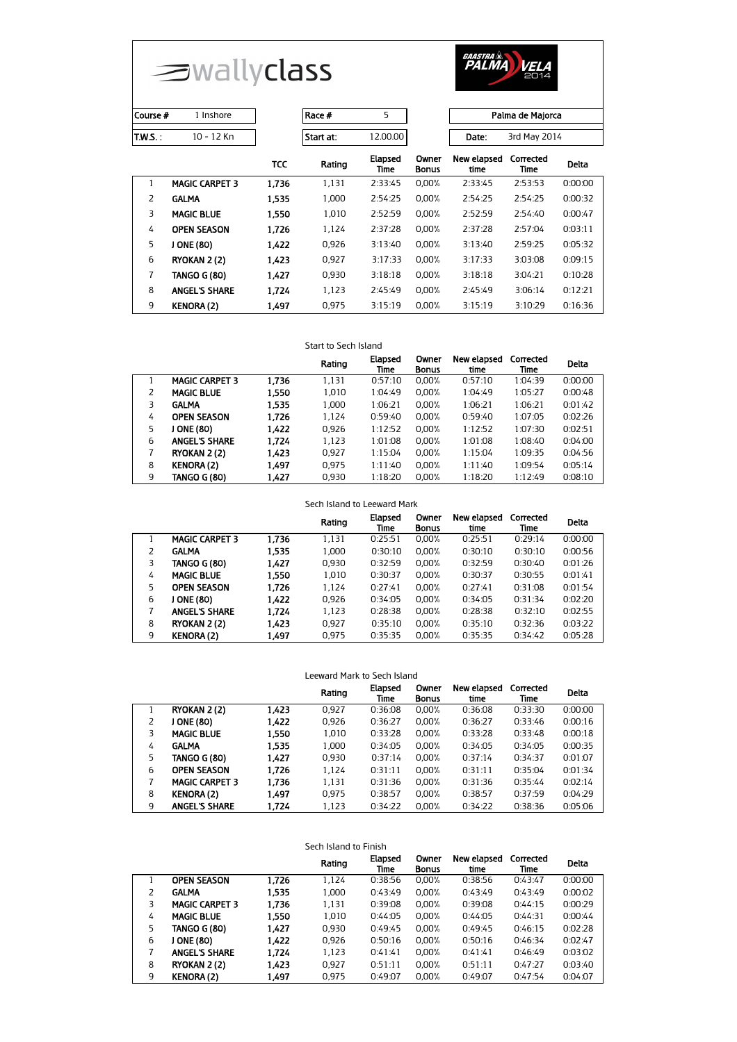



| Course #       | 1 Inshore             |            | Race #    | 5               |                       |                     | Palma de Majorca  |              |  |
|----------------|-----------------------|------------|-----------|-----------------|-----------------------|---------------------|-------------------|--------------|--|
| <b>T.W.S.:</b> | 10 - 12 Kn            |            | Start at: | 12.00.00        |                       | Date:               | 3rd May 2014      |              |  |
|                |                       | <b>TCC</b> | Rating    | Elapsed<br>Time | Owner<br><b>Bonus</b> | New elapsed<br>time | Corrected<br>Time | <b>Delta</b> |  |
| 1              | <b>MAGIC CARPET 3</b> | 1.736      | 1.131     | 2:33:45         | 0,00%                 | 2:33:45             | 2:53:53           | 0:00:00      |  |
| 2              | <b>GALMA</b>          | 1.535      | 1.000     | 2:54:25         | 0.00%                 | 2:54:25             | 2:54:25           | 0:00:32      |  |
| 3              | <b>MAGIC BLUE</b>     | 1.550      | 1.010     | 2:52:59         | 0.00%                 | 2:52:59             | 2:54:40           | 0:00:47      |  |
| 4              | <b>OPEN SEASON</b>    | 1.726      | 1.124     | 2:37:28         | 0.00%                 | 2:37:28             | 2:57:04           | 0:03:11      |  |
| 5              | J ONE (80)            | 1.422      | 0.926     | 3:13:40         | 0.00%                 | 3:13:40             | 2:59:25           | 0:05:32      |  |
| 6              | RYOKAN 2 (2)          | 1.423      | 0.927     | 3:17:33         | 0.00%                 | 3:17:33             | 3:03:08           | 0:09:15      |  |
| $\overline{7}$ | <b>TANGO G (80)</b>   | 1.427      | 0.930     | 3:18:18         | 0.00%                 | 3:18:18             | 3:04:21           | 0:10:28      |  |
| 8              | <b>ANGEL'S SHARE</b>  | 1.724      | 1.123     | 2:45:49         | 0.00%                 | 2:45:49             | 3:06:14           | 0:12:21      |  |
| 9              | <b>KENORA (2)</b>     | 1.497      | 0.975     | 3:15:19         | 0.00%                 | 3:15:19             | 3:10:29           | 0:16:36      |  |

## Start to Sech Island

|    |                       |       | Rating | Elapsed<br>Time | Owner<br><b>Bonus</b> | New elapsed<br>time | Corrected<br>Time | <b>Delta</b> |
|----|-----------------------|-------|--------|-----------------|-----------------------|---------------------|-------------------|--------------|
|    | <b>MAGIC CARPET 3</b> | 1.736 | 1,131  | 0:57:10         | 0.00%                 | 0:57:10             | 1:04:39           | 0:00:00      |
|    | <b>MAGIC BLUE</b>     | 1.550 | 1.010  | 1:04:49         | 0.00%                 | 1:04:49             | 1:05:27           | 0:00:48      |
| 3  | <b>GALMA</b>          | 1.535 | 1,000  | 1:06:21         | 0.00%                 | 1:06:21             | 1:06:21           | 0:01:42      |
| 4  | <b>OPEN SEASON</b>    | 1.726 | 1.124  | 0:59:40         | 0.00%                 | 0:59:40             | 1:07:05           | 0:02:26      |
| 5. | J ONE (80)            | 1.422 | 0.926  | 1:12:52         | 0.00%                 | 1:12:52             | 1:07:30           | 0:02:51      |
| 6  | <b>ANGEL'S SHARE</b>  | 1.724 | 1.123  | 1:01:08         | 0.00%                 | 1:01:08             | 1:08:40           | 0:04:00      |
|    | RYOKAN 2 (2)          | 1.423 | 0.927  | 1:15:04         | 0.00%                 | 1:15:04             | 1:09:35           | 0:04:56      |
| 8  | <b>KENORA (2)</b>     | 1.497 | 0.975  | 1:11:40         | 0.00%                 | 1:11:40             | 1:09:54           | 0:05:14      |
| 9  | <b>TANGO G (80)</b>   | 1.427 | 0.930  | 1:18:20         | 0.00%                 | 1:18:20             | 1:12:49           | 0:08:10      |

## Sech Island to Leeward Mark

|   |                       |       | Rating | Elapsed<br>Time | Owner<br><b>Bonus</b> | New elapsed<br>time | Corrected<br>Time | <b>Delta</b> |
|---|-----------------------|-------|--------|-----------------|-----------------------|---------------------|-------------------|--------------|
|   | <b>MAGIC CARPET 3</b> | 1.736 | 1.131  | 0:25:51         | 0.00%                 | 0:25:51             | 0:29:14           | 0:00:00      |
| 2 | <b>GALMA</b>          | 1.535 | 1.000  | 0:30:10         | 0.00%                 | 0:30:10             | 0:30:10           | 0:00:56      |
| 3 | TANGO G (80)          | 1,427 | 0.930  | 0:32:59         | 0.00%                 | 0:32:59             | 0:30:40           | 0:01:26      |
| 4 | <b>MAGIC BLUE</b>     | 1.550 | 1.010  | 0:30:37         | 0.00%                 | 0:30:37             | 0:30:55           | 0:01:41      |
| 5 | <b>OPEN SEASON</b>    | 1,726 | 1.124  | 0:27:41         | 0.00%                 | 0:27:41             | 0:31:08           | 0:01:54      |
| 6 | ONE (80)              | 1,422 | 0.926  | 0:34:05         | 0.00%                 | 0:34:05             | 0:31:34           | 0:02:20      |
| 7 | <b>ANGEL'S SHARE</b>  | 1,724 | 1,123  | 0:28:38         | 0.00%                 | 0:28:38             | 0:32:10           | 0:02:55      |
| 8 | RYOKAN 2 (2)          | 1,423 | 0.927  | 0:35:10         | 0.00%                 | 0:35:10             | 0:32:36           | 0:03:22      |
| 9 | <b>KENORA (2)</b>     | 1,497 | 0.975  | 0:35:35         | 0.00%                 | 0:35:35             | 0:34:42           | 0:05:28      |

| Leeward Mark to Sech Island |    |                       |       |        |                 |                       |                     |                   |         |
|-----------------------------|----|-----------------------|-------|--------|-----------------|-----------------------|---------------------|-------------------|---------|
|                             |    |                       |       | Rating | Elapsed<br>Time | Owner<br><b>Bonus</b> | New elapsed<br>time | Corrected<br>Time | Delta   |
|                             |    | RYOKAN 2 (2)          | 1.423 | 0.927  | 0:36:08         | $0.00\%$              | 0:36:08             | 0:33:30           | 0:00:00 |
|                             | 2  | J ONE (80)            | 1.422 | 0.926  | 0:36:27         | 0.00%                 | 0:36:27             | 0:33:46           | 0:00:16 |
|                             | 3  | <b>MAGIC BLUE</b>     | 1.550 | 1.010  | 0:33:28         | 0.00%                 | 0:33:28             | 0:33:48           | 0:00:18 |
|                             | 4  | <b>GALMA</b>          | 1.535 | 1.000  | 0:34:05         | 0.00%                 | 0:34:05             | 0:34:05           | 0:00:35 |
|                             | 5. | TANGO G (80)          | 1.427 | 0.930  | 0:37:14         | 0.00%                 | 0:37:14             | 0:34:37           | 0:01:07 |
|                             | 6  | <b>OPEN SEASON</b>    | 1.726 | 1.124  | 0:31:11         | 0.00%                 | 0:31:11             | 0:35:04           | 0:01:34 |
|                             | 7  | <b>MAGIC CARPET 3</b> | 1.736 | 1,131  | 0:31:36         | 0.00%                 | 0:31:36             | 0:35:44           | 0:02:14 |
|                             | 8  | <b>KENORA (2)</b>     | 1.497 | 0.975  | 0:38:57         | 0.00%                 | 0:38:57             | 0:37:59           | 0:04:29 |
|                             | 9  | <b>ANGEL'S SHARE</b>  | 1.724 | 1.123  | 0:34:22         | 0.00%                 | 0:34:22             | 0:38:36           | 0:05:06 |

| Sech Island to Finish |                       |       |        |                 |                       |                     |                   |         |
|-----------------------|-----------------------|-------|--------|-----------------|-----------------------|---------------------|-------------------|---------|
|                       |                       |       | Rating | Elapsed<br>Time | Owner<br><b>Bonus</b> | New elapsed<br>time | Corrected<br>Time | Delta   |
|                       | <b>OPEN SEASON</b>    | 1.726 | 1,124  | 0:38:56         | 0.00%                 | 0:38:56             | 0:43:47           | 0:00:00 |
| 2                     | <b>GALMA</b>          | 1,535 | 1.000  | 0:43:49         | 0.00%                 | 0:43:49             | 0:43:49           | 0:00:02 |
| 3                     | <b>MAGIC CARPET 3</b> | 1.736 | 1,131  | 0:39:08         | 0.00%                 | 0:39:08             | 0:44:15           | 0:00:29 |
| 4                     | <b>MAGIC BLUE</b>     | 1,550 | 1.010  | 0:44:05         | 0.00%                 | 0:44:05             | 0:44:31           | 0:00:44 |
| 5.                    | TANGO G (80)          | 1.427 | 0.930  | 0:49:45         | 0.00%                 | 0:49:45             | 0:46:15           | 0:02:28 |
| 6                     | J ONE (80)            | 1,422 | 0.926  | 0:50:16         | 0.00%                 | 0:50:16             | 0:46:34           | 0:02:47 |
| 7                     | <b>ANGEL'S SHARE</b>  | 1.724 | 1,123  | 0:41:41         | 0.00%                 | 0:41:41             | 0:46:49           | 0:03:02 |
| 8                     | RYOKAN 2 (2)          | 1.423 | 0.927  | 0:51:11         | 0.00%                 | 0:51:11             | 0:47:27           | 0:03:40 |
| 9                     | <b>KENORA (2)</b>     | 1.497 | 0.975  | 0:49:07         | 0.00%                 | 0:49:07             | 0:47:54           | 0:04:07 |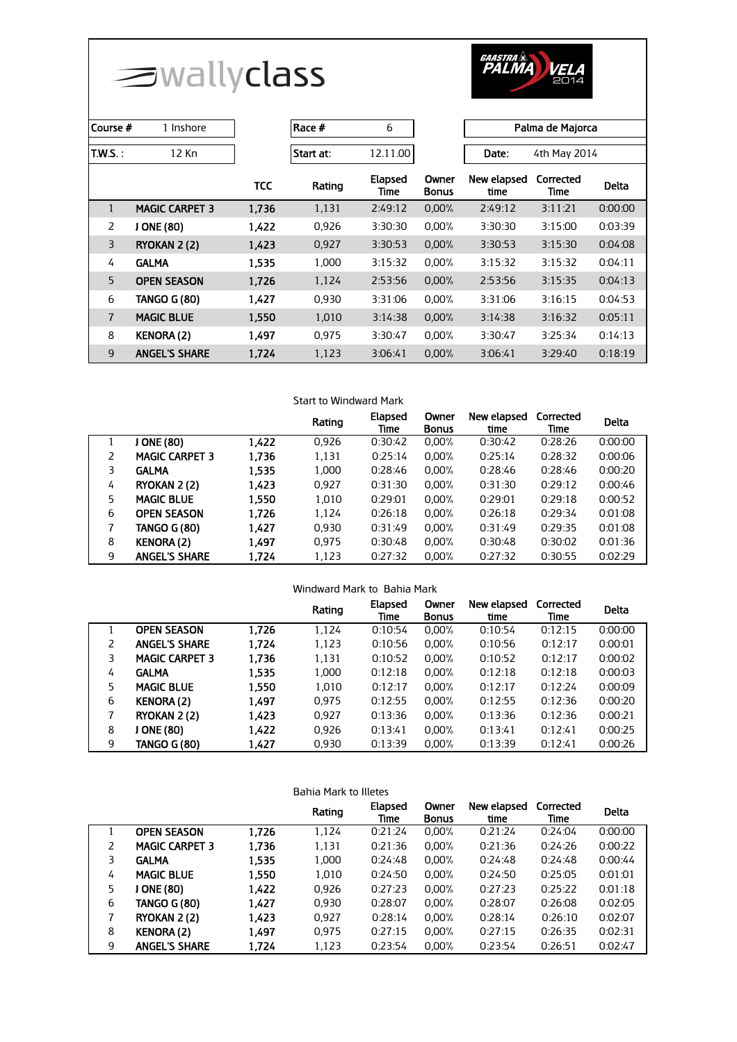surallyclass



| Course #       | 1 Inshore             |            | Race #    | 6               |                       | Palma de Majorca    |                   |              |
|----------------|-----------------------|------------|-----------|-----------------|-----------------------|---------------------|-------------------|--------------|
| <b>T.W.S.:</b> | 12 Kn                 |            | Start at: | 12.11.00        |                       | Date:               | 4th May 2014      |              |
|                |                       | <b>TCC</b> | Rating    | Elapsed<br>Time | Owner<br><b>Bonus</b> | New elapsed<br>time | Corrected<br>Time | <b>Delta</b> |
| $\mathbf{1}$   | <b>MAGIC CARPET 3</b> | 1,736      | 1,131     | 2:49:12         | 0,00%                 | 2:49:12             | 3:11:21           | 0:00:00      |
| $\overline{2}$ | J ONE (80)            | 1,422      | 0,926     | 3:30:30         | 0.00%                 | 3:30:30             | 3:15:00           | 0:03:39      |
| $\overline{3}$ | RYOKAN 2 (2)          | 1,423      | 0,927     | 3:30:53         | 0.00%                 | 3:30:53             | 3:15:30           | 0:04:08      |
| 4              | <b>GALMA</b>          | 1,535      | 1.000     | 3:15:32         | 0.00%                 | 3:15:32             | 3:15:32           | 0:04:11      |
| 5              | <b>OPEN SEASON</b>    | 1,726      | 1,124     | 2:53:56         | 0.00%                 | 2:53:56             | 3:15:35           | 0:04:13      |
| 6              | <b>TANGO G (80)</b>   | 1,427      | 0,930     | 3:31:06         | 0.00%                 | 3:31:06             | 3:16:15           | 0:04:53      |
| $\overline{7}$ | <b>MAGIC BLUE</b>     | 1,550      | 1,010     | 3:14:38         | 0.00%                 | 3:14:38             | 3:16:32           | 0:05:11      |
| 8              | <b>KENORA (2)</b>     | 1.497      | 0.975     | 3:30:47         | 0.00%                 | 3:30:47             | 3:25:34           | 0:14:13      |
| 9              | <b>ANGEL'S SHARE</b>  | 1,724      | 1,123     | 3:06:41         | 0.00%                 | 3:06:41             | 3:29:40           | 0:18:19      |

# Start to Windward Mark

|   |                       |       | Rating | Elapsed<br>Time | Owner<br><b>Bonus</b> | New elapsed<br>time | Corrected<br>Time | <b>Delta</b> |
|---|-----------------------|-------|--------|-----------------|-----------------------|---------------------|-------------------|--------------|
|   | J ONE (80)            | 1,422 | 0,926  | 0:30:42         | 0,00%                 | 0:30:42             | 0:28:26           | 0:00:00      |
| 2 | <b>MAGIC CARPET 3</b> | 1.736 | 1,131  | 0:25:14         | 0.00%                 | 0:25:14             | 0:28:32           | 0:00:06      |
| 3 | <b>GALMA</b>          | 1.535 | 1.000  | 0:28:46         | 0.00%                 | 0:28:46             | 0:28:46           | 0:00:20      |
| 4 | RYOKAN 2 (2)          | 1.423 | 0.927  | 0:31:30         | 0.00%                 | 0:31:30             | 0:29:12           | 0:00:46      |
| 5 | <b>MAGIC BLUE</b>     | 1.550 | 1,010  | 0:29:01         | 0.00%                 | 0:29:01             | 0:29:18           | 0:00:52      |
| 6 | <b>OPEN SEASON</b>    | 1,726 | 1,124  | 0:26:18         | 0.00%                 | 0:26:18             | 0:29:34           | 0:01:08      |
| 7 | <b>TANGO G (80)</b>   | 1,427 | 0.930  | 0:31:49         | 0.00%                 | 0:31:49             | 0:29:35           | 0:01:08      |
| 8 | <b>KENORA (2)</b>     | 1.497 | 0.975  | 0:30:48         | 0.00%                 | 0:30:48             | 0:30:02           | 0:01:36      |
| 9 | <b>ANGEL'S SHARE</b>  | 1,724 | 1,123  | 0:27:32         | 0.00%                 | 0:27:32             | 0:30:55           | 0:02:29      |

| Windward Mark to Bahia Mark |                       |       |        |                 |                       |                     |                   |              |
|-----------------------------|-----------------------|-------|--------|-----------------|-----------------------|---------------------|-------------------|--------------|
|                             |                       |       | Rating | Elapsed<br>Time | Owner<br><b>Bonus</b> | New elapsed<br>time | Corrected<br>Time | <b>Delta</b> |
|                             | <b>OPEN SEASON</b>    | 1.726 | 1,124  | 0:10:54         | 0.00%                 | 0:10:54             | 0:12:15           | 0:00:00      |
| 2                           | <b>ANGEL'S SHARE</b>  | 1.724 | 1,123  | 0:10:56         | 0.00%                 | 0:10:56             | 0:12:17           | 0:00:01      |
| 3                           | <b>MAGIC CARPET 3</b> | 1.736 | 1,131  | 0:10:52         | 0.00%                 | 0:10:52             | 0:12:17           | 0:00:02      |
| 4                           | <b>GALMA</b>          | 1,535 | 1,000  | 0:12:18         | 0.00%                 | 0:12:18             | 0:12:18           | 0:00:03      |
| 5                           | <b>MAGIC BLUE</b>     | 1,550 | 1,010  | 0:12:17         | 0.00%                 | 0:12:17             | 0:12:24           | 0:00:09      |
| 6                           | <b>KENORA (2)</b>     | 1.497 | 0.975  | 0:12:55         | 0.00%                 | 0:12:55             | 0:12:36           | 0:00:20      |
| 7                           | RYOKAN 2 (2)          | 1.423 | 0.927  | 0:13:36         | 0.00%                 | 0:13:36             | 0:12:36           | 0:00:21      |
| 8                           | J ONE (80)            | 1.422 | 0.926  | 0:13:41         | 0.00%                 | 0:13:41             | 0:12:41           | 0:00:25      |
| 9                           | <b>TANGO G (80)</b>   | 1,427 | 0,930  | 0:13:39         | 0.00%                 | 0:13:39             | 0:12:41           | 0:00:26      |

| Bahia Mark to Illetes |                       |       |        |                 |                       |                     |                   |              |
|-----------------------|-----------------------|-------|--------|-----------------|-----------------------|---------------------|-------------------|--------------|
|                       |                       |       | Rating | Elapsed<br>Time | Owner<br><b>Bonus</b> | New elapsed<br>time | Corrected<br>Time | <b>Delta</b> |
|                       | <b>OPEN SEASON</b>    | 1,726 | 1,124  | 0:21:24         | 0.00%                 | 0:21:24             | 0:24:04           | 0:00:00      |
| 2                     | <b>MAGIC CARPET 3</b> | 1.736 | 1,131  | 0:21:36         | $0.00\%$              | 0:21:36             | 0:24:26           | 0:00:22      |
| 3                     | <b>GALMA</b>          | 1.535 | 1,000  | 0:24:48         | 0.00%                 | 0:24:48             | 0:24:48           | 0:00:44      |
| 4                     | <b>MAGIC BLUE</b>     | 1.550 | 1.010  | 0:24:50         | 0.00%                 | 0:24:50             | 0:25:05           | 0:01:01      |
| 5                     | ONE (80)              | 1.422 | 0,926  | 0:27:23         | 0.00%                 | 0:27:23             | 0:25:22           | 0:01:18      |
| 6                     | TANGO G (80)          | 1,427 | 0.930  | 0:28:07         | 0.00%                 | 0:28:07             | 0:26:08           | 0:02:05      |
| 7                     | RYOKAN 2 (2)          | 1,423 | 0.927  | 0:28:14         | 0.00%                 | 0:28:14             | 0:26:10           | 0:02:07      |
| 8                     | <b>KENORA (2)</b>     | 1.497 | 0.975  | 0:27:15         | 0.00%                 | 0:27:15             | 0:26:35           | 0:02:31      |
| 9                     | <b>ANGEL'S SHARE</b>  | 1.724 | 1.123  | 0:23:54         | 0.00%                 | 0:23:54             | 0:26:51           | 0:02:47      |